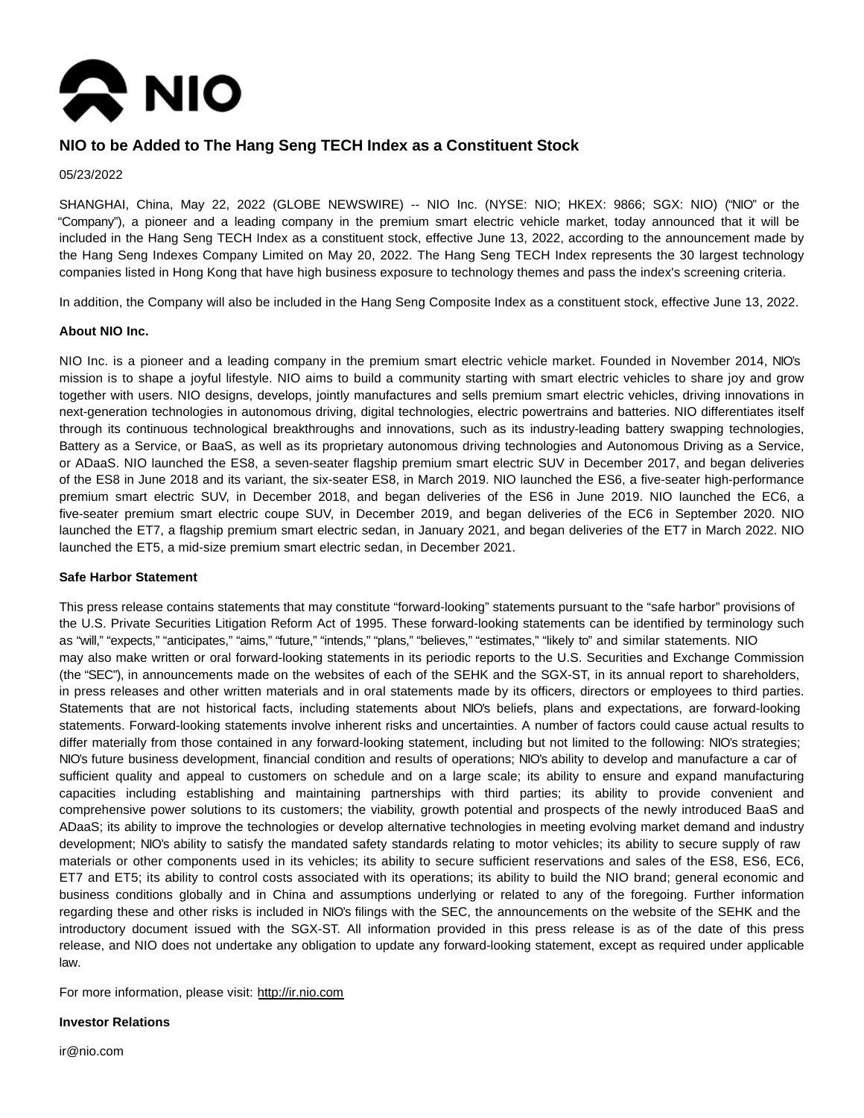

# **NIO to be Added to The Hang Seng TECH Index as a Constituent Stock**

#### 05/23/2022

SHANGHAI, China, May 22, 2022 (GLOBE NEWSWIRE) -- NIO Inc. (NYSE: NIO; HKEX: 9866; SGX: NIO) ("NIO" or the "Company"), a pioneer and a leading company in the premium smart electric vehicle market, today announced that it will be included in the Hang Seng TECH Index as a constituent stock, effective June 13, 2022, according to the announcement made by the Hang Seng Indexes Company Limited on May 20, 2022. The Hang Seng TECH Index represents the 30 largest technology companies listed in Hong Kong that have high business exposure to technology themes and pass the index's screening criteria.

In addition, the Company will also be included in the Hang Seng Composite Index as a constituent stock, effective June 13, 2022.

## **About NIO Inc.**

NIO Inc. is a pioneer and a leading company in the premium smart electric vehicle market. Founded in November 2014, NIO's mission is to shape a joyful lifestyle. NIO aims to build a community starting with smart electric vehicles to share joy and grow together with users. NIO designs, develops, jointly manufactures and sells premium smart electric vehicles, driving innovations in next-generation technologies in autonomous driving, digital technologies, electric powertrains and batteries. NIO differentiates itself through its continuous technological breakthroughs and innovations, such as its industry-leading battery swapping technologies, Battery as a Service, or BaaS, as well as its proprietary autonomous driving technologies and Autonomous Driving as a Service, or ADaaS. NIO launched the ES8, a seven-seater flagship premium smart electric SUV in December 2017, and began deliveries of the ES8 in June 2018 and its variant, the six-seater ES8, in March 2019. NIO launched the ES6, a five-seater high-performance premium smart electric SUV, in December 2018, and began deliveries of the ES6 in June 2019. NIO launched the EC6, a five-seater premium smart electric coupe SUV, in December 2019, and began deliveries of the EC6 in September 2020. NIO launched the ET7, a flagship premium smart electric sedan, in January 2021, and began deliveries of the ET7 in March 2022. NIO launched the ET5, a mid-size premium smart electric sedan, in December 2021.

#### **Safe Harbor Statement**

This press release contains statements that may constitute "forward-looking" statements pursuant to the "safe harbor" provisions of the U.S. Private Securities Litigation Reform Act of 1995. These forward-looking statements can be identified by terminology such as "will," "expects," "anticipates," "aims," "future," "intends," "plans," "believes," "estimates," "likely to" and similar statements. NIO may also make written or oral forward-looking statements in its periodic reports to the U.S. Securities and Exchange Commission (the "SEC"), in announcements made on the websites of each of the SEHK and the SGX-ST, in its annual report to shareholders, in press releases and other written materials and in oral statements made by its officers, directors or employees to third parties. Statements that are not historical facts, including statements about NIO's beliefs, plans and expectations, are forward-looking statements. Forward-looking statements involve inherent risks and uncertainties. A number of factors could cause actual results to differ materially from those contained in any forward-looking statement, including but not limited to the following: NIO's strategies; NIO's future business development, financial condition and results of operations; NIO's ability to develop and manufacture a car of sufficient quality and appeal to customers on schedule and on a large scale; its ability to ensure and expand manufacturing capacities including establishing and maintaining partnerships with third parties; its ability to provide convenient and comprehensive power solutions to its customers; the viability, growth potential and prospects of the newly introduced BaaS and ADaaS; its ability to improve the technologies or develop alternative technologies in meeting evolving market demand and industry development; NIO's ability to satisfy the mandated safety standards relating to motor vehicles; its ability to secure supply of raw materials or other components used in its vehicles; its ability to secure sufficient reservations and sales of the ES8, ES6, EC6, ET7 and ET5; its ability to control costs associated with its operations; its ability to build the NIO brand; general economic and business conditions globally and in China and assumptions underlying or related to any of the foregoing. Further information regarding these and other risks is included in NIO's filings with the SEC, the announcements on the website of the SEHK and the introductory document issued with the SGX-ST. All information provided in this press release is as of the date of this press release, and NIO does not undertake any obligation to update any forward-looking statement, except as required under applicable law.

For more information, please visit: http://ir.nio.com

## **Investor Relations**

ir@nio.com